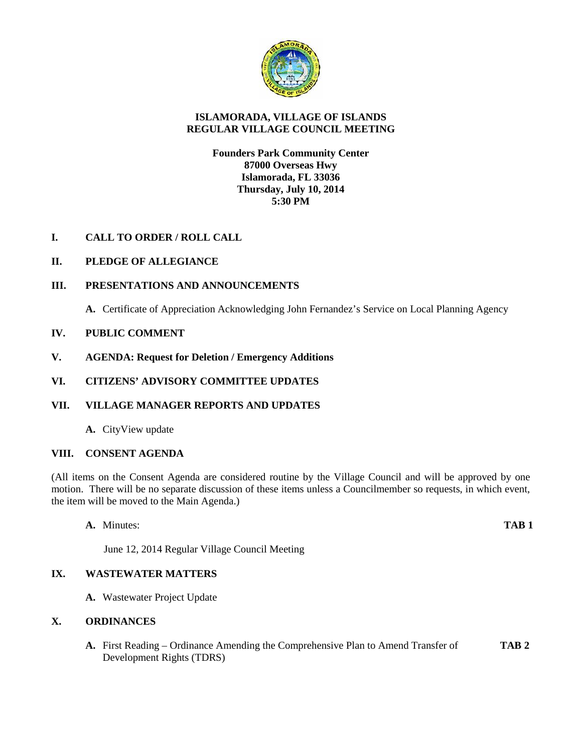

# **ISLAMORADA, VILLAGE OF ISLANDS REGULAR VILLAGE COUNCIL MEETING**

## **Founders Park Community Center 87000 Overseas Hwy Islamorada, FL 33036 Thursday, July 10, 2014 5:30 PM**

# **I. CALL TO ORDER / ROLL CALL**

# **II. PLEDGE OF ALLEGIANCE**

## **III. PRESENTATIONS AND ANNOUNCEMENTS**

**A.** Certificate of Appreciation Acknowledging John Fernandez's Service on Local Planning Agency

## **IV. PUBLIC COMMENT**

**V. AGENDA: Request for Deletion / Emergency Additions**

## **VI. CITIZENS' ADVISORY COMMITTEE UPDATES**

# **VII. VILLAGE MANAGER REPORTS AND UPDATES**

**A.** CityView update

## **VIII. CONSENT AGENDA**

(All items on the Consent Agenda are considered routine by the Village Council and will be approved by one motion. There will be no separate discussion of these items unless a Councilmember so requests, in which event, the item will be moved to the Main Agenda.)

**A.** Minutes: **TAB 1**

June 12, 2014 Regular Village Council Meeting

# **IX. WASTEWATER MATTERS**

**A.** Wastewater Project Update

## **X. ORDINANCES**

**A.** First Reading – Ordinance Amending the Comprehensive Plan to Amend Transfer of **TAB 2** Development Rights (TDRS)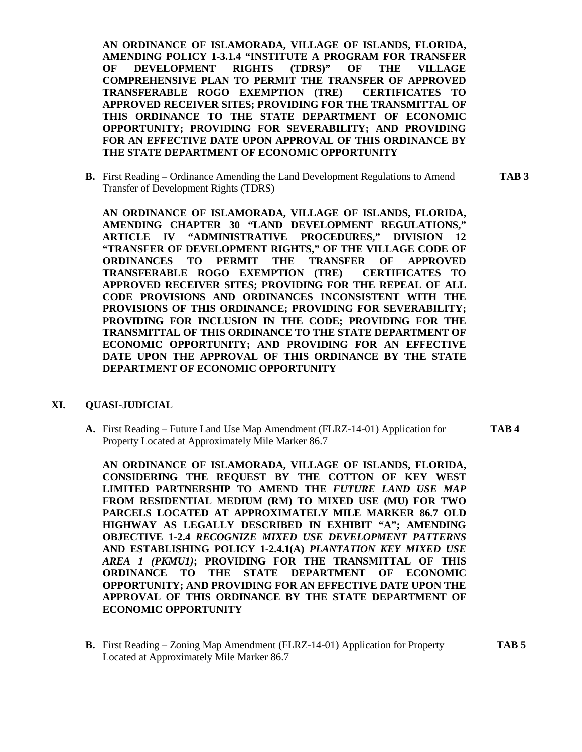**AN ORDINANCE OF ISLAMORADA, VILLAGE OF ISLANDS, FLORIDA, AMENDING POLICY 1-3.1.4 "INSTITUTE A PROGRAM FOR TRANSFER OF DEVELOPMENT RIGHTS (TDRS)" OF THE VILLAGE COMPREHENSIVE PLAN TO PERMIT THE TRANSFER OF APPROVED TRANSFERABLE ROGO EXEMPTION (TRE) CERTIFICATES TO APPROVED RECEIVER SITES; PROVIDING FOR THE TRANSMITTAL OF THIS ORDINANCE TO THE STATE DEPARTMENT OF ECONOMIC OPPORTUNITY; PROVIDING FOR SEVERABILITY; AND PROVIDING FOR AN EFFECTIVE DATE UPON APPROVAL OF THIS ORDINANCE BY THE STATE DEPARTMENT OF ECONOMIC OPPORTUNITY**

**B.** First Reading – Ordinance Amending the Land Development Regulations to Amend **TAB 3** Transfer of Development Rights (TDRS)

**AN ORDINANCE OF ISLAMORADA, VILLAGE OF ISLANDS, FLORIDA, AMENDING CHAPTER 30 "LAND DEVELOPMENT REGULATIONS," ARTICLE IV "ADMINISTRATIVE PROCEDURES," DIVISION 12 "TRANSFER OF DEVELOPMENT RIGHTS," OF THE VILLAGE CODE OF ORDINANCES TO PERMIT THE TRANSFER OF APPROVED TRANSFERABLE ROGO EXEMPTION (TRE) CERTIFICATES TO APPROVED RECEIVER SITES; PROVIDING FOR THE REPEAL OF ALL CODE PROVISIONS AND ORDINANCES INCONSISTENT WITH THE PROVISIONS OF THIS ORDINANCE; PROVIDING FOR SEVERABILITY; PROVIDING FOR INCLUSION IN THE CODE; PROVIDING FOR THE TRANSMITTAL OF THIS ORDINANCE TO THE STATE DEPARTMENT OF ECONOMIC OPPORTUNITY; AND PROVIDING FOR AN EFFECTIVE DATE UPON THE APPROVAL OF THIS ORDINANCE BY THE STATE DEPARTMENT OF ECONOMIC OPPORTUNITY**

#### **XI. QUASI-JUDICIAL**

**A.** First Reading – Future Land Use Map Amendment (FLRZ-14-01) Application for **TAB 4** Property Located at Approximately Mile Marker 86.7

**AN ORDINANCE OF ISLAMORADA, VILLAGE OF ISLANDS, FLORIDA, CONSIDERING THE REQUEST BY THE COTTON OF KEY WEST LIMITED PARTNERSHIP TO AMEND THE** *FUTURE LAND USE MAP* **FROM RESIDENTIAL MEDIUM (RM) TO MIXED USE (MU) FOR TWO PARCELS LOCATED AT APPROXIMATELY MILE MARKER 86.7 OLD HIGHWAY AS LEGALLY DESCRIBED IN EXHIBIT "A"; AMENDING OBJECTIVE 1-2.4** *RECOGNIZE MIXED USE DEVELOPMENT PATTERNS* **AND ESTABLISHING POLICY 1-2.4.1(A)** *PLANTATION KEY MIXED USE AREA 1 (PKMU1)***; PROVIDING FOR THE TRANSMITTAL OF THIS ORDINANCE TO THE STATE DEPARTMENT OF ECONOMIC OPPORTUNITY; AND PROVIDING FOR AN EFFECTIVE DATE UPON THE APPROVAL OF THIS ORDINANCE BY THE STATE DEPARTMENT OF ECONOMIC OPPORTUNITY**

**B.** First Reading – Zoning Map Amendment (FLRZ-14-01) Application for Property **TAB 5** Located at Approximately Mile Marker 86.7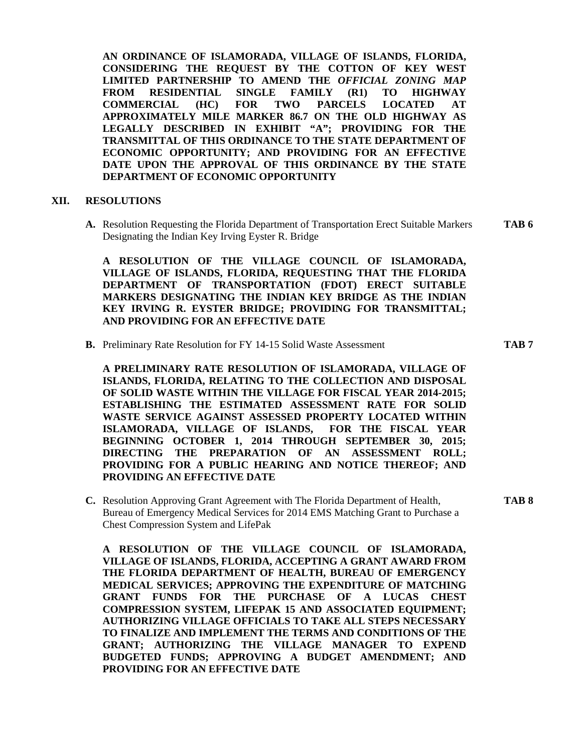**AN ORDINANCE OF ISLAMORADA, VILLAGE OF ISLANDS, FLORIDA, CONSIDERING THE REQUEST BY THE COTTON OF KEY WEST LIMITED PARTNERSHIP TO AMEND THE** *OFFICIAL ZONING MAP* **FROM RESIDENTIAL SINGLE FAMILY (R1) TO HIGHWAY COMMERCIAL (HC) FOR TWO PARCELS LOCATED AT APPROXIMATELY MILE MARKER 86.7 ON THE OLD HIGHWAY AS LEGALLY DESCRIBED IN EXHIBIT "A"; PROVIDING FOR THE TRANSMITTAL OF THIS ORDINANCE TO THE STATE DEPARTMENT OF ECONOMIC OPPORTUNITY; AND PROVIDING FOR AN EFFECTIVE DATE UPON THE APPROVAL OF THIS ORDINANCE BY THE STATE DEPARTMENT OF ECONOMIC OPPORTUNITY**

#### **XII. RESOLUTIONS**

**A.** Resolution Requesting the Florida Department of Transportation Erect Suitable Markers **TAB 6** Designating the Indian Key Irving Eyster R. Bridge

**A RESOLUTION OF THE VILLAGE COUNCIL OF ISLAMORADA, VILLAGE OF ISLANDS, FLORIDA, REQUESTING THAT THE FLORIDA DEPARTMENT OF TRANSPORTATION (FDOT) ERECT SUITABLE MARKERS DESIGNATING THE INDIAN KEY BRIDGE AS THE INDIAN KEY IRVING R. EYSTER BRIDGE; PROVIDING FOR TRANSMITTAL; AND PROVIDING FOR AN EFFECTIVE DATE**

**B.** Preliminary Rate Resolution for FY 14-15 Solid Waste Assessment **TAB 7**

**A PRELIMINARY RATE RESOLUTION OF ISLAMORADA, VILLAGE OF ISLANDS, FLORIDA, RELATING TO THE COLLECTION AND DISPOSAL OF SOLID WASTE WITHIN THE VILLAGE FOR FISCAL YEAR 2014-2015; ESTABLISHING THE ESTIMATED ASSESSMENT RATE FOR SOLID WASTE SERVICE AGAINST ASSESSED PROPERTY LOCATED WITHIN ISLAMORADA, VILLAGE OF ISLANDS, FOR THE FISCAL YEAR BEGINNING OCTOBER 1, 2014 THROUGH SEPTEMBER 30, 2015; DIRECTING THE PREPARATION OF AN ASSESSMENT ROLL; PROVIDING FOR A PUBLIC HEARING AND NOTICE THEREOF; AND PROVIDING AN EFFECTIVE DATE**

**C.** Resolution Approving Grant Agreement with The Florida Department of Health, **TAB 8** Bureau of Emergency Medical Services for 2014 EMS Matching Grant to Purchase a Chest Compression System and LifePak

**A RESOLUTION OF THE VILLAGE COUNCIL OF ISLAMORADA, VILLAGE OF ISLANDS, FLORIDA, ACCEPTING A GRANT AWARD FROM THE FLORIDA DEPARTMENT OF HEALTH, BUREAU OF EMERGENCY MEDICAL SERVICES; APPROVING THE EXPENDITURE OF MATCHING GRANT FUNDS FOR THE PURCHASE OF A LUCAS CHEST COMPRESSION SYSTEM, LIFEPAK 15 AND ASSOCIATED EQUIPMENT; AUTHORIZING VILLAGE OFFICIALS TO TAKE ALL STEPS NECESSARY TO FINALIZE AND IMPLEMENT THE TERMS AND CONDITIONS OF THE GRANT; AUTHORIZING THE VILLAGE MANAGER TO EXPEND BUDGETED FUNDS; APPROVING A BUDGET AMENDMENT; AND PROVIDING FOR AN EFFECTIVE DATE**